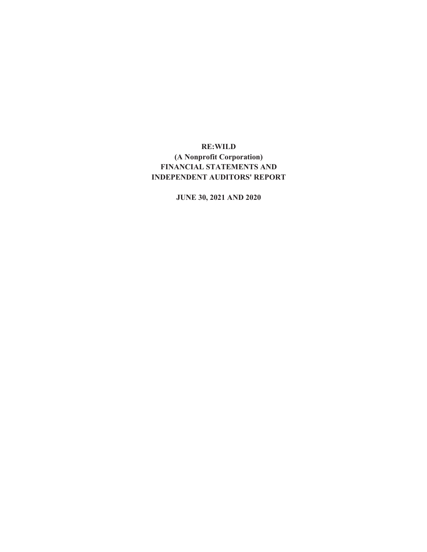## **RE:WILD (A Nonprofit Corporation) FINANCIAL STATEMENTS AND INDEPENDENT AUDITORS' REPORT**

**JUNE 30, 2021 AND 2020**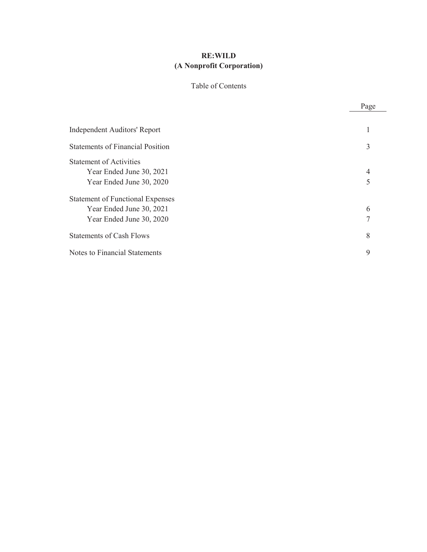# **RE:WILD (A Nonprofit Corporation)**

## Table of Contents

|                                         | Page |
|-----------------------------------------|------|
| <b>Independent Auditors' Report</b>     |      |
| <b>Statements of Financial Position</b> | 3    |
| <b>Statement of Activities</b>          |      |
| Year Ended June 30, 2021                | 4    |
| Year Ended June 30, 2020                | 5    |
| <b>Statement of Functional Expenses</b> |      |
| Year Ended June 30, 2021                | 6    |
| Year Ended June 30, 2020                | 7    |
| <b>Statements of Cash Flows</b>         | 8    |
| <b>Notes to Financial Statements</b>    | 9    |
|                                         |      |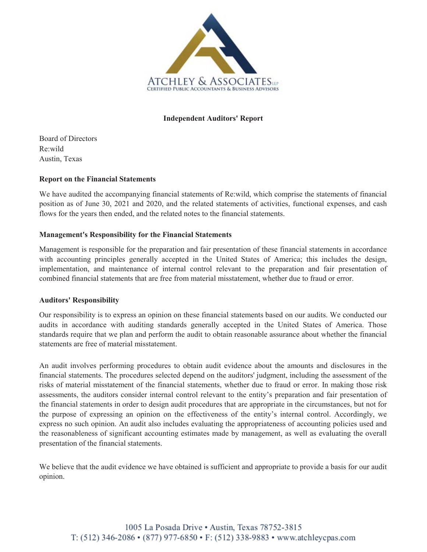

#### **Independent Auditors' Report**

Board of Directors Re:wild Austin, Texas

#### **Report on the Financial Statements**

We have audited the accompanying financial statements of Re:wild, which comprise the statements of financial position as of June 30, 2021 and 2020, and the related statements of activities, functional expenses, and cash flows for the years then ended, and the related notes to the financial statements.

#### **Management's Responsibility for the Financial Statements**

Management is responsible for the preparation and fair presentation of these financial statements in accordance with accounting principles generally accepted in the United States of America; this includes the design, implementation, and maintenance of internal control relevant to the preparation and fair presentation of combined financial statements that are free from material misstatement, whether due to fraud or error.

#### **Auditors' Responsibility**

Our responsibility is to express an opinion on these financial statements based on our audits. We conducted our audits in accordance with auditing standards generally accepted in the United States of America. Those standards require that we plan and perform the audit to obtain reasonable assurance about whether the financial statements are free of material misstatement.

An audit involves performing procedures to obtain audit evidence about the amounts and disclosures in the financial statements. The procedures selected depend on the auditors' judgment, including the assessment of the risks of material misstatement of the financial statements, whether due to fraud or error. In making those risk assessments, the auditors consider internal control relevant to the entity's preparation and fair presentation of the financial statements in order to design audit procedures that are appropriate in the circumstances, but not for the purpose of expressing an opinion on the effectiveness of the entity's internal control. Accordingly, we express no such opinion. An audit also includes evaluating the appropriateness of accounting policies used and the reasonableness of significant accounting estimates made by management, as well as evaluating the overall presentation of the financial statements.

We believe that the audit evidence we have obtained is sufficient and appropriate to provide a basis for our audit opinion.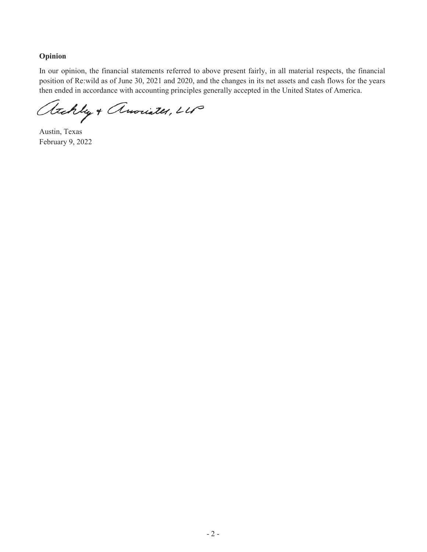**Opinion**

In our opinion, the financial statements referred to above present fairly, in all material respects, the financial position of Re:wild as of June 30, 2021 and 2020, and the changes in its net assets and cash flows for the years then ended in accordance with accounting principles generally accepted in the United States of America.

archley + Anounter, LLP

Austin, Texas February 9, 2022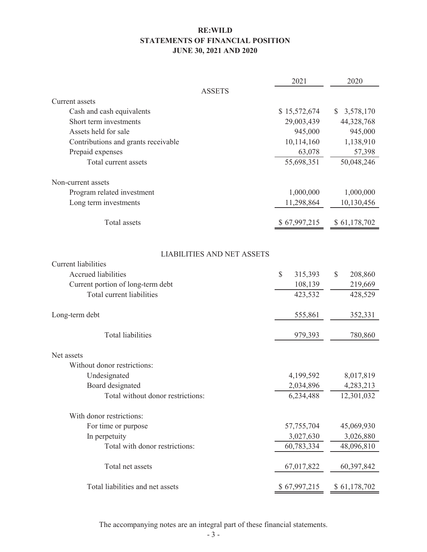### **RE:WILD STATEMENTS OF FINANCIAL POSITION JUNE 30, 2021 AND 2020**

|                                     | 2021                     | 2020                     |
|-------------------------------------|--------------------------|--------------------------|
| <b>ASSETS</b>                       |                          |                          |
| Current assets                      |                          |                          |
| Cash and cash equivalents           | \$15,572,674             | 3,578,170<br>\$          |
| Short term investments              | 29,003,439               | 44,328,768               |
| Assets held for sale                | 945,000                  | 945,000                  |
| Contributions and grants receivable | 10,114,160               | 1,138,910                |
| Prepaid expenses                    | 63,078                   | 57,398                   |
| Total current assets                | 55,698,351               | 50,048,246               |
| Non-current assets                  |                          |                          |
| Program related investment          | 1,000,000                | 1,000,000                |
| Long term investments               | 11,298,864               | 10,130,456               |
| Total assets                        | \$67,997,215             | \$61,178,702             |
|                                     |                          |                          |
| <b>LIABILITIES AND NET ASSETS</b>   |                          |                          |
| <b>Current</b> liabilities          |                          |                          |
| <b>Accrued liabilities</b>          | $\mathcal{S}$<br>315,393 | <sup>\$</sup><br>208,860 |
| Current portion of long-term debt   | 108,139                  | 219,669                  |
| Total current liabilities           | 423,532                  | 428,529                  |
| Long-term debt                      | 555,861                  | 352,331                  |
| Total liabilities                   | 979,393                  | 780,860                  |
| Net assets                          |                          |                          |
| Without donor restrictions:         |                          |                          |
| Undesignated                        | 4,199,592                | 8,017,819                |
| Board designated                    | 2,034,896                | 4,283,213                |
| Total without donor restrictions:   | 6,234,488                | 12,301,032               |
| With donor restrictions:            |                          |                          |
| For time or purpose                 | 57,755,704               | 45,069,930               |
| In perpetuity                       | 3,027,630                | 3,026,880                |
| Total with donor restrictions:      | 60,783,334               | 48,096,810               |
| Total net assets                    | 67,017,822               | 60,397,842               |
| Total liabilities and net assets    | \$67,997,215             | \$61,178,702             |

The accompanying notes are an integral part of these financial statements.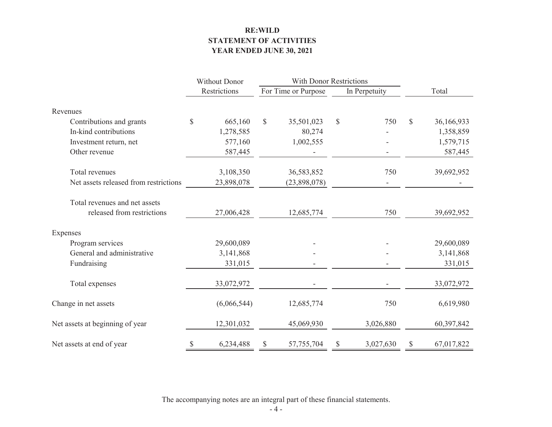## **RE:WILD STATEMENT OF ACTIVITIES YEAR ENDED JUNE 30, 2021**

|                                       | Without Donor   | <b>With Donor Restrictions</b>       |              |    |           |    |            |
|---------------------------------------|-----------------|--------------------------------------|--------------|----|-----------|----|------------|
|                                       | Restrictions    | For Time or Purpose<br>In Perpetuity |              |    | Total     |    |            |
| Revenues                              |                 |                                      |              |    |           |    |            |
| Contributions and grants              | \$<br>665,160   | $\mathcal{S}$                        | 35,501,023   | \$ | 750       | \$ | 36,166,933 |
| In-kind contributions                 | 1,278,585       |                                      | 80,274       |    |           |    | 1,358,859  |
| Investment return, net                | 577,160         |                                      | 1,002,555    |    |           |    | 1,579,715  |
| Other revenue                         | 587,445         |                                      |              |    |           |    | 587,445    |
| Total revenues                        | 3,108,350       |                                      | 36,583,852   |    | 750       |    | 39,692,952 |
| Net assets released from restrictions | 23,898,078      |                                      | (23,898,078) |    |           |    |            |
| Total revenues and net assets         |                 |                                      |              |    |           |    |            |
| released from restrictions            | 27,006,428      |                                      | 12,685,774   |    | 750       |    | 39,692,952 |
| Expenses                              |                 |                                      |              |    |           |    |            |
| Program services                      | 29,600,089      |                                      |              |    |           |    | 29,600,089 |
| General and administrative            | 3,141,868       |                                      |              |    |           |    | 3,141,868  |
| Fundraising                           | 331,015         |                                      |              |    |           |    | 331,015    |
| Total expenses                        | 33,072,972      |                                      |              |    |           |    | 33,072,972 |
| Change in net assets                  | (6,066,544)     |                                      | 12,685,774   |    | 750       |    | 6,619,980  |
| Net assets at beginning of year       | 12,301,032      |                                      | 45,069,930   |    | 3,026,880 |    | 60,397,842 |
| Net assets at end of year             | \$<br>6,234,488 | \$                                   | 57,755,704   | \$ | 3,027,630 | \$ | 67,017,822 |

The accompanying notes are an integral part of these financial statements.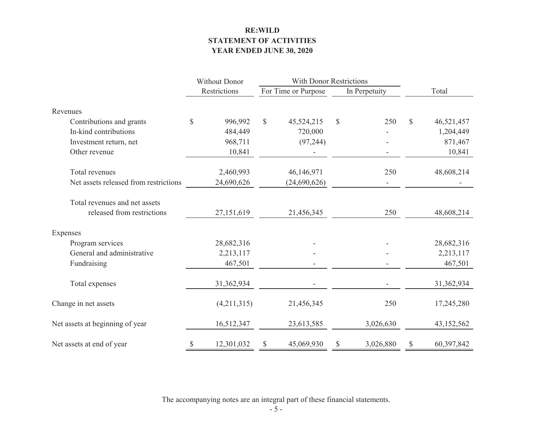## **RE:WILD STATEMENT OF ACTIVITIES YEAR ENDED JUNE 30, 2020**

|                                       |              | Without Donor | With Donor Restrictions |                     |    |               |              |            |
|---------------------------------------|--------------|---------------|-------------------------|---------------------|----|---------------|--------------|------------|
|                                       |              | Restrictions  |                         | For Time or Purpose |    | In Perpetuity |              | Total      |
| Revenues                              |              |               |                         |                     |    |               |              |            |
| Contributions and grants              | $\mathbb{S}$ | 996,992       | $\mathcal{S}$           | 45,524,215          | \$ | 250           | $\mathbb{S}$ | 46,521,457 |
| In-kind contributions                 |              | 484,449       |                         | 720,000             |    |               |              | 1,204,449  |
| Investment return, net                |              | 968,711       |                         | (97, 244)           |    |               |              | 871,467    |
| Other revenue                         |              | 10,841        |                         |                     |    |               |              | 10,841     |
| Total revenues                        |              | 2,460,993     |                         | 46,146,971          |    | 250           |              | 48,608,214 |
| Net assets released from restrictions |              | 24,690,626    |                         | (24,690,626)        |    |               |              |            |
| Total revenues and net assets         |              |               |                         |                     |    |               |              |            |
| released from restrictions            |              | 27,151,619    |                         | 21,456,345          |    | 250           |              | 48,608,214 |
| Expenses                              |              |               |                         |                     |    |               |              |            |
| Program services                      |              | 28,682,316    |                         |                     |    |               |              | 28,682,316 |
| General and administrative            |              | 2,213,117     |                         |                     |    |               |              | 2,213,117  |
| Fundraising                           |              | 467,501       |                         |                     |    |               |              | 467,501    |
| Total expenses                        |              | 31,362,934    |                         |                     |    |               |              | 31,362,934 |
| Change in net assets                  |              | (4,211,315)   |                         | 21,456,345          |    | 250           |              | 17,245,280 |
| Net assets at beginning of year       |              | 16,512,347    |                         | 23,613,585          |    | 3,026,630     |              | 43,152,562 |
| Net assets at end of year             | \$           | 12,301,032    | \$                      | 45,069,930          | \$ | 3,026,880     | \$           | 60,397,842 |

The accompanying notes are an integral part of these financial statements.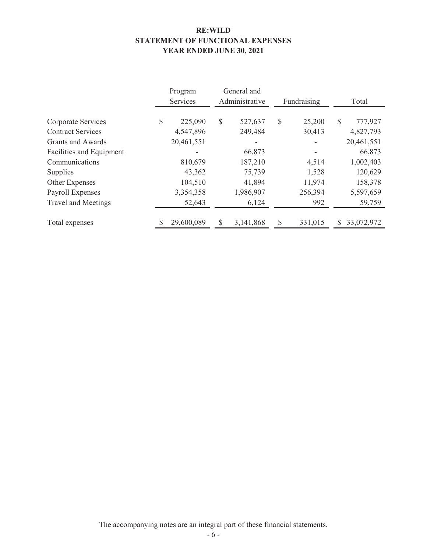### **RE:WILD STATEMENT OF FUNCTIONAL EXPENSES YEAR ENDED JUNE 30, 2021**

|                            | Program<br>Services | General and<br>Administrative | Fundraising   |               | Total      |
|----------------------------|---------------------|-------------------------------|---------------|---------------|------------|
|                            |                     |                               |               |               |            |
| Corporate Services         | \$<br>225,090       | \$<br>527,637                 | \$<br>25,200  | $\mathcal{S}$ | 777,927    |
| <b>Contract Services</b>   | 4,547,896           | 249,484                       | 30,413        |               | 4,827,793  |
| <b>Grants and Awards</b>   | 20,461,551          |                               |               |               | 20,461,551 |
| Facilities and Equipment   |                     | 66,873                        |               |               | 66,873     |
| Communications             | 810,679             | 187,210                       | 4,514         |               | 1,002,403  |
| <b>Supplies</b>            | 43,362              | 75,739                        | 1,528         |               | 120,629    |
| Other Expenses             | 104,510             | 41,894                        | 11,974        |               | 158,378    |
| Payroll Expenses           | 3,354,358           | 1,986,907                     | 256,394       |               | 5,597,659  |
| <b>Travel and Meetings</b> | 52,643              | 6,124                         | 992           |               | 59,759     |
| Total expenses             | 29,600,089          | \$<br>3,141,868               | \$<br>331,015 | S             | 33,072,972 |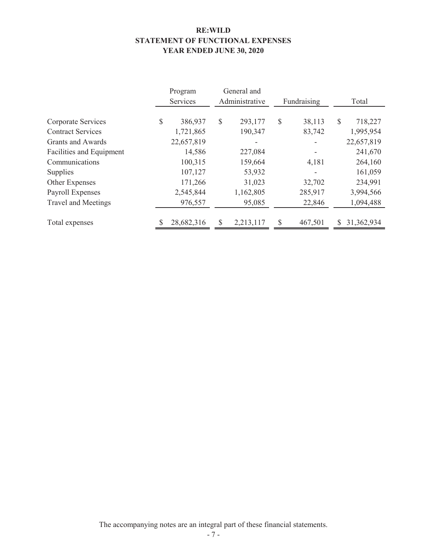### **RE:WILD STATEMENT OF FUNCTIONAL EXPENSES YEAR ENDED JUNE 30, 2020**

|                            | Program<br>Services |    | General and<br>Administrative |    | Fundraising |               | Total      |
|----------------------------|---------------------|----|-------------------------------|----|-------------|---------------|------------|
|                            |                     |    |                               |    |             |               |            |
| Corporate Services         | \$<br>386,937       | \$ | 293,177                       | \$ | 38,113      | $\mathcal{S}$ | 718,227    |
| <b>Contract Services</b>   | 1,721,865           |    | 190,347                       |    | 83,742      |               | 1,995,954  |
| <b>Grants and Awards</b>   | 22,657,819          |    |                               |    |             |               | 22,657,819 |
| Facilities and Equipment   | 14,586              |    | 227,084                       |    |             |               | 241,670    |
| Communications             | 100,315             |    | 159,664                       |    | 4,181       |               | 264,160    |
| <b>Supplies</b>            | 107,127             |    | 53,932                        |    |             |               | 161,059    |
| Other Expenses             | 171,266             |    | 31,023                        |    | 32,702      |               | 234,991    |
| Payroll Expenses           | 2,545,844           |    | 1,162,805                     |    | 285,917     |               | 3,994,566  |
| <b>Travel and Meetings</b> | 976,557             |    | 95,085                        |    | 22,846      |               | 1,094,488  |
| Total expenses             | 28,682,316          | S  | 2,213,117                     | S  | 467,501     | S             | 31,362,934 |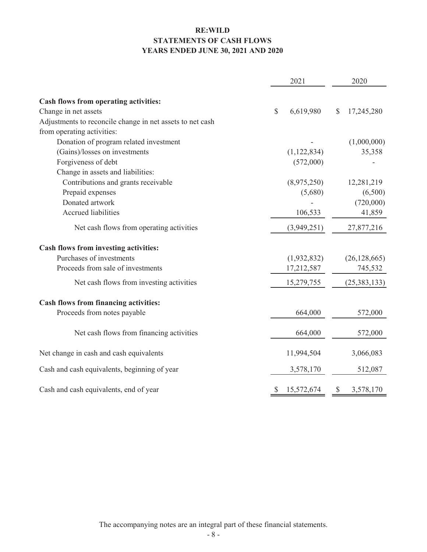## **RE:WILD STATEMENTS OF CASH FLOWS YEARS ENDED JUNE 30, 2021 AND 2020**

|                                                           | 2021 |               |    | 2020           |
|-----------------------------------------------------------|------|---------------|----|----------------|
|                                                           |      |               |    |                |
| Cash flows from operating activities:                     |      |               |    |                |
| Change in net assets                                      | \$   | 6,619,980     | \$ | 17,245,280     |
| Adjustments to reconcile change in net assets to net cash |      |               |    |                |
| from operating activities:                                |      |               |    |                |
| Donation of program related investment                    |      |               |    | (1,000,000)    |
| (Gains)/losses on investments                             |      | (1, 122, 834) |    | 35,358         |
| Forgiveness of debt                                       |      | (572,000)     |    |                |
| Change in assets and liabilities:                         |      |               |    |                |
| Contributions and grants receivable                       |      | (8,975,250)   |    | 12,281,219     |
| Prepaid expenses                                          |      | (5,680)       |    | (6,500)        |
| Donated artwork                                           |      |               |    | (720,000)      |
| <b>Accrued liabilities</b>                                |      | 106,533       |    | 41,859         |
| Net cash flows from operating activities                  |      | (3,949,251)   |    | 27,877,216     |
| Cash flows from investing activities:                     |      |               |    |                |
| Purchases of investments                                  |      | (1,932,832)   |    | (26, 128, 665) |
| Proceeds from sale of investments                         |      | 17,212,587    |    | 745,532        |
| Net cash flows from investing activities                  |      | 15,279,755    |    | (25, 383, 133) |
| <b>Cash flows from financing activities:</b>              |      |               |    |                |
| Proceeds from notes payable                               |      | 664,000       |    | 572,000        |
| Net cash flows from financing activities                  |      | 664,000       |    | 572,000        |
| Net change in cash and cash equivalents                   |      | 11,994,504    |    | 3,066,083      |
| Cash and cash equivalents, beginning of year              |      | 3,578,170     |    | 512,087        |
| Cash and cash equivalents, end of year                    | S.   | 15,572,674    | \$ | 3,578,170      |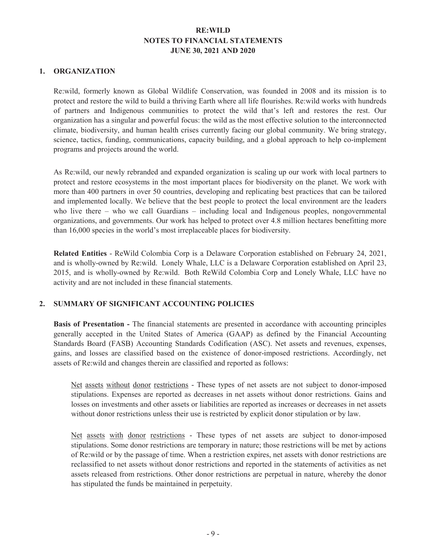#### **1. ORGANIZATION**

Re:wild, formerly known as Global Wildlife Conservation, was founded in 2008 and its mission is to protect and restore the wild to build a thriving Earth where all life flourishes. Re:wild works with hundreds of partners and Indigenous communities to protect the wild that's left and restores the rest. Our organization has a singular and powerful focus: the wild as the most effective solution to the interconnected climate, biodiversity, and human health crises currently facing our global community. We bring strategy, science, tactics, funding, communications, capacity building, and a global approach to help co-implement programs and projects around the world.

As Re:wild, our newly rebranded and expanded organization is scaling up our work with local partners to protect and restore ecosystems in the most important places for biodiversity on the planet. We work with more than 400 partners in over 50 countries, developing and replicating best practices that can be tailored and implemented locally. We believe that the best people to protect the local environment are the leaders who live there – who we call Guardians – including local and Indigenous peoples, nongovernmental organizations, and governments. Our work has helped to protect over 4.8 million hectares benefitting more than 16,000 species in the world's most irreplaceable places for biodiversity.

**Related Entities** - ReWild Colombia Corp is a Delaware Corporation established on February 24, 2021, and is wholly-owned by Re:wild. Lonely Whale, LLC is a Delaware Corporation established on April 23, 2015, and is wholly-owned by Re:wild. Both ReWild Colombia Corp and Lonely Whale, LLC have no activity and are not included in these financial statements.

### **2. SUMMARY OF SIGNIFICANT ACCOUNTING POLICIES**

**Basis of Presentation -** The financial statements are presented in accordance with accounting principles generally accepted in the United States of America (GAAP) as defined by the Financial Accounting Standards Board (FASB) Accounting Standards Codification (ASC). Net assets and revenues, expenses, gains, and losses are classified based on the existence of donor-imposed restrictions. Accordingly, net assets of Re:wild and changes therein are classified and reported as follows:

Net assets without donor restrictions - These types of net assets are not subject to donor-imposed stipulations. Expenses are reported as decreases in net assets without donor restrictions. Gains and losses on investments and other assets or liabilities are reported as increases or decreases in net assets without donor restrictions unless their use is restricted by explicit donor stipulation or by law.

Net assets with donor restrictions - These types of net assets are subject to donor-imposed stipulations. Some donor restrictions are temporary in nature; those restrictions will be met by actions of Re:wild or by the passage of time. When a restriction expires, net assets with donor restrictions are reclassified to net assets without donor restrictions and reported in the statements of activities as net assets released from restrictions. Other donor restrictions are perpetual in nature, whereby the donor has stipulated the funds be maintained in perpetuity.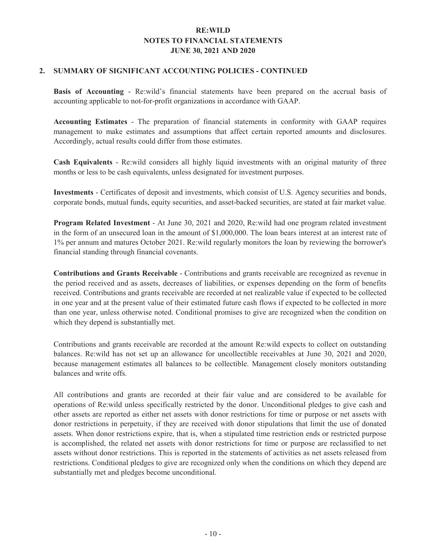#### **2. SUMMARY OF SIGNIFICANT ACCOUNTING POLICIES - CONTINUED**

**Basis of Accounting** - Re:wild's financial statements have been prepared on the accrual basis of accounting applicable to not-for-profit organizations in accordance with GAAP.

**Accounting Estimates** - The preparation of financial statements in conformity with GAAP requires management to make estimates and assumptions that affect certain reported amounts and disclosures. Accordingly, actual results could differ from those estimates.

**Cash Equivalents** - Re:wild considers all highly liquid investments with an original maturity of three months or less to be cash equivalents, unless designated for investment purposes.

**Investments** - Certificates of deposit and investments, which consist of U.S. Agency securities and bonds, corporate bonds, mutual funds, equity securities, and asset-backed securities, are stated at fair market value.

**Program Related Investment** - At June 30, 2021 and 2020, Re:wild had one program related investment in the form of an unsecured loan in the amount of \$1,000,000. The loan bears interest at an interest rate of 1% per annum and matures October 2021. Re:wild regularly monitors the loan by reviewing the borrower's financial standing through financial covenants.

**Contributions and Grants Receivable** - Contributions and grants receivable are recognized as revenue in the period received and as assets, decreases of liabilities, or expenses depending on the form of benefits received. Contributions and grants receivable are recorded at net realizable value if expected to be collected in one year and at the present value of their estimated future cash flows if expected to be collected in more than one year, unless otherwise noted. Conditional promises to give are recognized when the condition on which they depend is substantially met.

Contributions and grants receivable are recorded at the amount Re:wild expects to collect on outstanding balances. Re:wild has not set up an allowance for uncollectible receivables at June 30, 2021 and 2020, because management estimates all balances to be collectible. Management closely monitors outstanding balances and write offs.

All contributions and grants are recorded at their fair value and are considered to be available for operations of Re:wild unless specifically restricted by the donor. Unconditional pledges to give cash and other assets are reported as either net assets with donor restrictions for time or purpose or net assets with donor restrictions in perpetuity, if they are received with donor stipulations that limit the use of donated assets. When donor restrictions expire, that is, when a stipulated time restriction ends or restricted purpose is accomplished, the related net assets with donor restrictions for time or purpose are reclassified to net assets without donor restrictions. This is reported in the statements of activities as net assets released from restrictions. Conditional pledges to give are recognized only when the conditions on which they depend are substantially met and pledges become unconditional.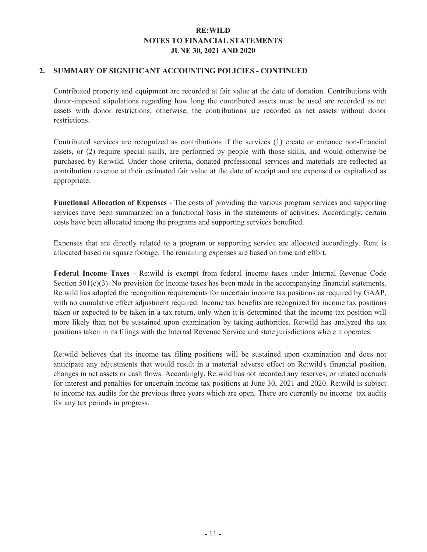#### **2. SUMMARY OF SIGNIFICANT ACCOUNTING POLICIES - CONTINUED**

Contributed property and equipment are recorded at fair value at the date of donation. Contributions with donor-imposed stipulations regarding how long the contributed assets must be used are recorded as net assets with donor restrictions; otherwise, the contributions are recorded as net assets without donor restrictions.

Contributed services are recognized as contributions if the services (1) create or enhance non-financial assets, or (2) require special skills, are performed by people with those skills, and would otherwise be purchased by Re:wild. Under those criteria, donated professional services and materials are reflected as contribution revenue at their estimated fair value at the date of receipt and are expensed or capitalized as appropriate.

**Functional Allocation of Expenses** - The costs of providing the various program services and supporting services have been summarized on a functional basis in the statements of activities. Accordingly, certain costs have been allocated among the programs and supporting services benefited.

Expenses that are directly related to a program or supporting service are allocated accordingly. Rent is allocated based on square footage. The remaining expenses are based on time and effort.

**Federal Income Taxes** - Re:wild is exempt from federal income taxes under Internal Revenue Code Section  $501(c)(3)$ . No provision for income taxes has been made in the accompanying financial statements. Re:wild has adopted the recognition requirements for uncertain income tax positions as required by GAAP, with no cumulative effect adjustment required. Income tax benefits are recognized for income tax positions taken or expected to be taken in a tax return, only when it is determined that the income tax position will more likely than not be sustained upon examination by taxing authorities. Re:wild has analyzed the tax positions taken in its filings with the Internal Revenue Service and state jurisdictions where it operates.

Re:wild believes that its income tax filing positions will be sustained upon examination and does not anticipate any adjustments that would result in a material adverse effect on Re:wild's financial position, changes in net assets or cash flows. Accordingly, Re:wild has not recorded any reserves, or related accruals for interest and penalties for uncertain income tax positions at June 30, 2021 and 2020. Re:wild is subject to income tax audits for the previous three years which are open. There are currently no income tax audits for any tax periods in progress.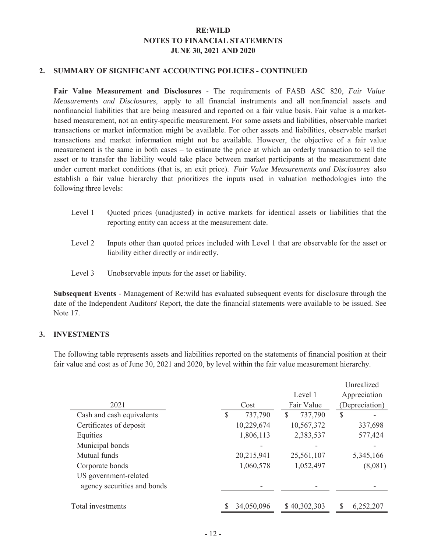#### **2. SUMMARY OF SIGNIFICANT ACCOUNTING POLICIES - CONTINUED**

**Fair Value Measurement and Disclosures** - The requirements of FASB ASC 820, *Fair Value Measurements and Disclosures,* apply to all financial instruments and all nonfinancial assets and nonfinancial liabilities that are being measured and reported on a fair value basis. Fair value is a marketbased measurement, not an entity-specific measurement. For some assets and liabilities, observable market transactions or market information might be available. For other assets and liabilities, observable market transactions and market information might not be available. However, the objective of a fair value measurement is the same in both cases – to estimate the price at which an orderly transaction to sell the asset or to transfer the liability would take place between market participants at the measurement date under current market conditions (that is, an exit price). *Fair Value Measurements and Disclosures* also establish a fair value hierarchy that prioritizes the inputs used in valuation methodologies into the following three levels:

- Level 1 Quoted prices (unadjusted) in active markets for identical assets or liabilities that the reporting entity can access at the measurement date.
- Level 2 Inputs other than quoted prices included with Level 1 that are observable for the asset or liability either directly or indirectly.
- Level 3 Unobservable inputs for the asset or liability.

**Subsequent Events** - Management of Re:wild has evaluated subsequent events for disclosure through the date of the Independent Auditors' Report, the date the financial statements were available to be issued. See Note 17.

#### **3. INVESTMENTS**

The following table represents assets and liabilities reported on the statements of financial position at their fair value and cost as of June 30, 2021 and 2020, by level within the fair value measurement hierarchy.

Unrealized

|                             |            | Level 1      | Appreciation   |
|-----------------------------|------------|--------------|----------------|
| 2021                        | Cost       | Fair Value   | (Depreciation) |
| Cash and cash equivalents   | 737,790    | 737,790<br>S | \$             |
| Certificates of deposit     | 10,229,674 | 10,567,372   | 337,698        |
| Equities                    | 1,806,113  | 2,383,537    | 577,424        |
| Municipal bonds             |            |              |                |
| Mutual funds                | 20,215,941 | 25,561,107   | 5,345,166      |
| Corporate bonds             | 1,060,578  | 1,052,497    | (8,081)        |
| US government-related       |            |              |                |
| agency securities and bonds |            |              |                |
|                             |            |              |                |
| Total investments           | 34,050,096 | \$40,302,303 | 6,252,207      |
|                             |            |              |                |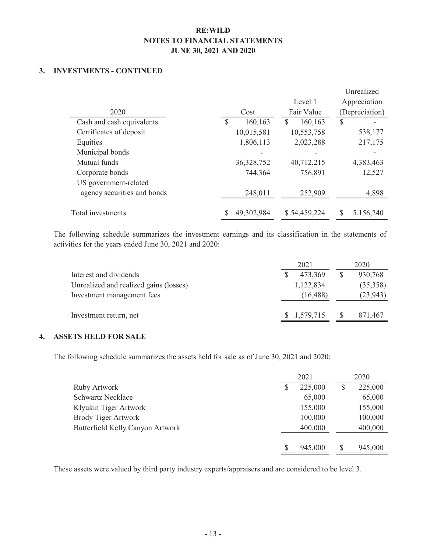### **3. INVESTMENTS - CONTINUED**

|                             |                         |              | Unrealized      |
|-----------------------------|-------------------------|--------------|-----------------|
|                             |                         | Level 1      | Appreciation    |
| 2020                        | Cost                    | Fair Value   | (Depreciation)  |
| Cash and cash equivalents   | 160,163<br><sup>S</sup> | 160,163<br>S | $\mathcal{S}$   |
| Certificates of deposit     | 10,015,581              | 10,553,758   | 538,177         |
| Equities                    | 1,806,113               | 2,023,288    | 217,175         |
| Municipal bonds             |                         |              |                 |
| Mutual funds                | 36,328,752              | 40,712,215   | 4,383,463       |
| Corporate bonds             | 744,364                 | 756,891      | 12,527          |
| US government-related       |                         |              |                 |
| agency securities and bonds | 248,011                 | 252,909      | 4,898           |
|                             |                         |              |                 |
| Total investments           | 49,302,984              | \$54,459,224 | \$<br>5,156,240 |

The following schedule summarizes the investment earnings and its classification in the statements of activities for the years ended June 30, 2021 and 2020:

|                                        | 2021        | 2020      |
|----------------------------------------|-------------|-----------|
| Interest and dividends                 | 473,369     | 930,768   |
| Unrealized and realized gains (losses) | 1,122,834   | (35,358)  |
| Investment management fees             | (16, 488)   | (23, 943) |
| Investment return, net                 | \$1,579,715 | 871,467   |
|                                        |             |           |

#### **4. ASSETS HELD FOR SALE**

The following schedule summarizes the assets held for sale as of June 30, 2021 and 2020:

|                                  | 2021          |    | 2020    |
|----------------------------------|---------------|----|---------|
| Ruby Artwork                     | \$<br>225,000 | \$ | 225,000 |
| <b>Schwartz Necklace</b>         | 65,000        |    | 65,000  |
| Klyukin Tiger Artwork            | 155,000       |    | 155,000 |
| Brody Tiger Artwork              | 100,000       |    | 100,000 |
| Butterfield Kelly Canyon Artwork | 400,000       |    | 400,000 |
|                                  |               |    |         |
|                                  | \$<br>945,000 | S  | 945,000 |

These assets were valued by third party industry experts/appraisers and are considered to be level 3.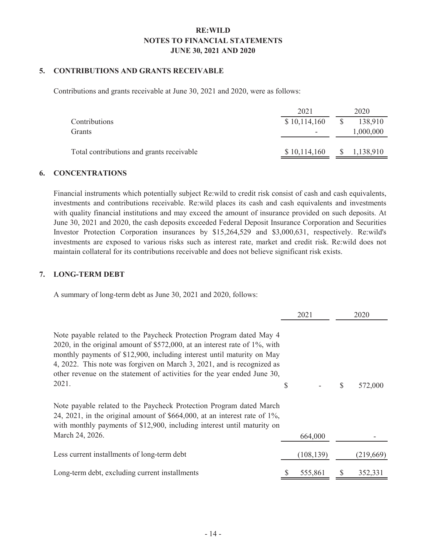#### **5. CONTRIBUTIONS AND GRANTS RECEIVABLE**

Contributions and grants receivable at June 30, 2021 and 2020, were as follows:

|                                           | 2021         |              | 2020      |
|-------------------------------------------|--------------|--------------|-----------|
| Contributions                             | \$10,114,160 | <sup>S</sup> | 138,910   |
| Grants                                    |              |              | 1,000,000 |
|                                           |              |              |           |
| Total contributions and grants receivable | \$10,114,160 | $\mathbb{S}$ | 1,138,910 |
|                                           |              |              |           |

#### **6. CONCENTRATIONS**

Financial instruments which potentially subject Re:wild to credit risk consist of cash and cash equivalents, investments and contributions receivable. Re:wild places its cash and cash equivalents and investments with quality financial institutions and may exceed the amount of insurance provided on such deposits. At June 30, 2021 and 2020, the cash deposits exceeded Federal Deposit Insurance Corporation and Securities Investor Protection Corporation insurances by \$15,264,529 and \$3,000,631, respectively. Re:wild's investments are exposed to various risks such as interest rate, market and credit risk. Re:wild does not maintain collateral for its contributions receivable and does not believe significant risk exists.

### **7. LONG-TERM DEBT**

A summary of long-term debt as June 30, 2021 and 2020, follows:

|                                                                                                                                                                                                                                                                                                                                                                                            | 2021          |    | 2020      |
|--------------------------------------------------------------------------------------------------------------------------------------------------------------------------------------------------------------------------------------------------------------------------------------------------------------------------------------------------------------------------------------------|---------------|----|-----------|
| Note payable related to the Paycheck Protection Program dated May 4<br>2020, in the original amount of \$572,000, at an interest rate of 1%, with<br>monthly payments of \$12,900, including interest until maturity on May<br>4, 2022. This note was forgiven on March 3, 2021, and is recognized as<br>other revenue on the statement of activities for the year ended June 30,<br>2021. | \$            | S  | 572,000   |
| Note payable related to the Paycheck Protection Program dated March<br>24, 2021, in the original amount of $$664,000$ , at an interest rate of $1\%$ ,<br>with monthly payments of \$12,900, including interest until maturity on<br>March 24, 2026.                                                                                                                                       | 664,000       |    |           |
| Less current installments of long-term debt                                                                                                                                                                                                                                                                                                                                                | (108, 139)    |    | (219,669) |
| Long-term debt, excluding current installments                                                                                                                                                                                                                                                                                                                                             | \$<br>555,861 | \$ | 352,331   |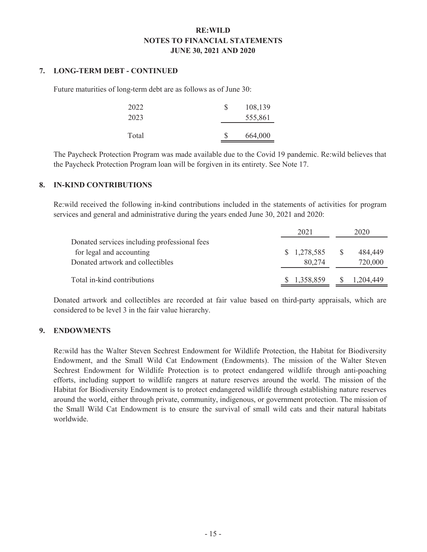### **7. LONG-TERM DEBT - CONTINUED**

Future maturities of long-term debt are as follows as of June 30:

| 2022<br>2023 | S | 108,139<br>555,861 |
|--------------|---|--------------------|
| Total        | S | 664,000            |

The Paycheck Protection Program was made available due to the Covid 19 pandemic. Re:wild believes that the Paycheck Protection Program loan will be forgiven in its entirety. See Note 17.

#### **8. IN-KIND CONTRIBUTIONS**

Re:wild received the following in-kind contributions included in the statements of activities for program services and general and administrative during the years ended June 30, 2021 and 2020:

|                                              | 2021        |              | 2020      |
|----------------------------------------------|-------------|--------------|-----------|
| Donated services including professional fees |             |              |           |
| for legal and accounting                     | \$1,278,585 | <sup>S</sup> | 484,449   |
| Donated artwork and collectibles             | 80.274      |              | 720,000   |
|                                              |             |              |           |
| Total in-kind contributions                  | \$1,358,859 |              | 1,204,449 |

Donated artwork and collectibles are recorded at fair value based on third-party appraisals, which are considered to be level 3 in the fair value hierarchy.

#### **9. ENDOWMENTS**

Re:wild has the Walter Steven Sechrest Endowment for Wildlife Protection, the Habitat for Biodiversity Endowment, and the Small Wild Cat Endowment (Endowments). The mission of the Walter Steven Sechrest Endowment for Wildlife Protection is to protect endangered wildlife through anti-poaching efforts, including support to wildlife rangers at nature reserves around the world. The mission of the Habitat for Biodiversity Endowment is to protect endangered wildlife through establishing nature reserves around the world, either through private, community, indigenous, or government protection. The mission of the Small Wild Cat Endowment is to ensure the survival of small wild cats and their natural habitats worldwide.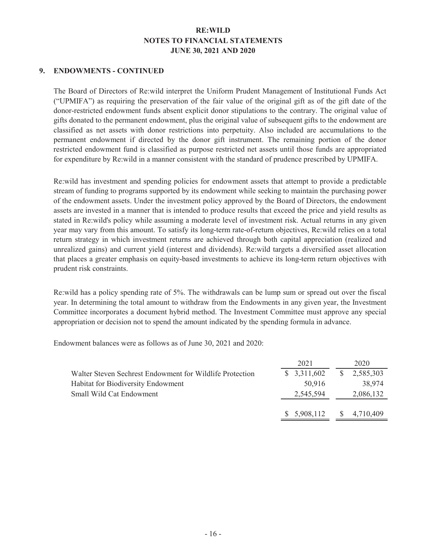#### **9. ENDOWMENTS - CONTINUED**

The Board of Directors of Re:wild interpret the Uniform Prudent Management of Institutional Funds Act ("UPMIFA") as requiring the preservation of the fair value of the original gift as of the gift date of the donor-restricted endowment funds absent explicit donor stipulations to the contrary. The original value of gifts donated to the permanent endowment, plus the original value of subsequent gifts to the endowment are classified as net assets with donor restrictions into perpetuity. Also included are accumulations to the permanent endowment if directed by the donor gift instrument. The remaining portion of the donor restricted endowment fund is classified as purpose restricted net assets until those funds are appropriated for expenditure by Re:wild in a manner consistent with the standard of prudence prescribed by UPMIFA.

Re:wild has investment and spending policies for endowment assets that attempt to provide a predictable stream of funding to programs supported by its endowment while seeking to maintain the purchasing power of the endowment assets. Under the investment policy approved by the Board of Directors, the endowment assets are invested in a manner that is intended to produce results that exceed the price and yield results as stated in Re:wild's policy while assuming a moderate level of investment risk. Actual returns in any given year may vary from this amount. To satisfy its long-term rate-of-return objectives, Re:wild relies on a total return strategy in which investment returns are achieved through both capital appreciation (realized and unrealized gains) and current yield (interest and dividends). Re:wild targets a diversified asset allocation that places a greater emphasis on equity-based investments to achieve its long-term return objectives with prudent risk constraints.

Re:wild has a policy spending rate of 5%. The withdrawals can be lump sum or spread out over the fiscal year. In determining the total amount to withdraw from the Endowments in any given year, the Investment Committee incorporates a document hybrid method. The Investment Committee must approve any special appropriation or decision not to spend the amount indicated by the spending formula in advance.

Endowment balances were as follows as of June 30, 2021 and 2020:

|                                                          | 2021        | 2020      |
|----------------------------------------------------------|-------------|-----------|
| Walter Steven Sechrest Endowment for Wildlife Protection | \$3,311,602 | 2,585,303 |
| Habitat for Biodiversity Endowment                       | 50,916      | 38,974    |
| Small Wild Cat Endowment                                 | 2,545,594   | 2,086,132 |
|                                                          |             |           |
|                                                          | \$5,908,112 | 4,710,409 |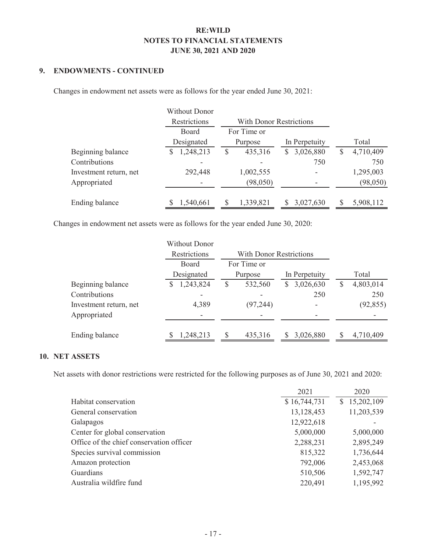#### **9. ENDOWMENTS - CONTINUED**

Changes in endowment net assets were as follows for the year ended June 30, 2021:

|                        | <b>Without Donor</b> |              |                                |                |
|------------------------|----------------------|--------------|--------------------------------|----------------|
|                        | Restrictions         |              | <b>With Donor Restrictions</b> |                |
|                        | <b>Board</b>         | For Time or  |                                |                |
|                        | Designated           | Purpose      | In Perpetuity                  | Total          |
| Beginning balance      | 1,248,213            | 435,316<br>S | 3,026,880<br>S.                | 4,710,409<br>S |
| Contributions          |                      |              | 750                            | 750            |
| Investment return, net | 292,448              | 1,002,555    |                                | 1,295,003      |
| Appropriated           |                      | (98,050)     |                                | (98,050)       |
| Ending balance         | 1,540,661            | 1,339,821    | 3,027,630                      | 5,908,112      |

Changes in endowment net assets were as follows for the year ended June 30, 2020:

|                        | <b>Without Donor</b> |                                |               |                |
|------------------------|----------------------|--------------------------------|---------------|----------------|
|                        | Restrictions         | <b>With Donor Restrictions</b> |               |                |
|                        | Board                | For Time or                    |               |                |
|                        | Designated           | Purpose                        | In Perpetuity | Total          |
| Beginning balance      | 1,243,824            | 532,560<br>\$                  | 3,026,630     | 4,803,014<br>S |
| Contributions          |                      |                                | 250           | 250            |
| Investment return, net | 4,389                | (97, 244)                      |               | (92, 855)      |
| Appropriated           |                      |                                |               |                |
| Ending balance         | 1,248,213            | S<br>435,316                   | 3,026,880     | 4,710,409      |

### **10. NET ASSETS**

Net assets with donor restrictions were restricted for the following purposes as of June 30, 2021 and 2020:

|                                          | 2021         | 2020         |
|------------------------------------------|--------------|--------------|
| Habitat conservation                     | \$16,744,731 | \$15,202,109 |
| General conservation                     | 13,128,453   | 11,203,539   |
| Galapagos                                | 12,922,618   |              |
| Center for global conservation           | 5,000,000    | 5,000,000    |
| Office of the chief conservation officer | 2,288,231    | 2,895,249    |
| Species survival commission              | 815,322      | 1,736,644    |
| Amazon protection                        | 792,006      | 2,453,068    |
| Guardians                                | 510,506      | 1,592,747    |
| Australia wildfire fund                  | 220,491      | 1,195,992    |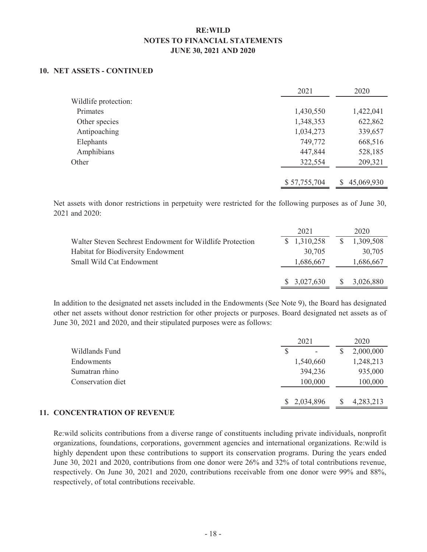#### **10. NET ASSETS - CONTINUED**

|                      | 2021         | 2020       |
|----------------------|--------------|------------|
| Wildlife protection: |              |            |
| Primates             | 1,430,550    | 1,422,041  |
| Other species        | 1,348,353    | 622,862    |
| Antipoaching         | 1,034,273    | 339,657    |
| Elephants            | 749,772      | 668,516    |
| Amphibians           | 447,844      | 528,185    |
| Other                | 322,554      | 209,321    |
|                      |              |            |
|                      | \$57,755,704 | 45,069,930 |

Net assets with donor restrictions in perpetuity were restricted for the following purposes as of June 30, 2021 and 2020:

|                                                          | 2021        |    | 2020      |
|----------------------------------------------------------|-------------|----|-----------|
| Walter Steven Sechrest Endowment for Wildlife Protection | \$1,310,258 |    | 1,309,508 |
| Habitat for Biodiversity Endowment                       | 30,705      |    | 30,705    |
| Small Wild Cat Endowment                                 | 1,686,667   |    | 1,686,667 |
|                                                          |             |    |           |
|                                                          | \$3,027,630 | S. | 3,026,880 |

In addition to the designated net assets included in the Endowments (See Note 9), the Board has designated other net assets without donor restriction for other projects or purposes. Board designated net assets as of June 30, 2021 and 2020, and their stipulated purposes were as follows:

|                           |   | 2021        |    | 2020      |  |
|---------------------------|---|-------------|----|-----------|--|
| Wildlands Fund            | S | -           | \$ | 2,000,000 |  |
| <b>Endowments</b>         |   | 1,540,660   |    | 1,248,213 |  |
| Sumatran rhino            |   | 394,236     |    | 935,000   |  |
| Conservation diet         |   | 100,000     |    | 100,000   |  |
|                           |   |             |    |           |  |
|                           |   | \$2,034,896 |    | 4,283,213 |  |
| VARNITD ATIAN AR DRURNITR |   |             |    |           |  |

#### **11. CONCENTRATION OF REVENUE**

Re:wild solicits contributions from a diverse range of constituents including private individuals, nonprofit organizations, foundations, corporations, government agencies and international organizations. Re:wild is highly dependent upon these contributions to support its conservation programs. During the years ended June 30, 2021 and 2020, contributions from one donor were 26% and 32% of total contributions revenue, respectively. On June 30, 2021 and 2020, contributions receivable from one donor were 99% and 88%, respectively, of total contributions receivable.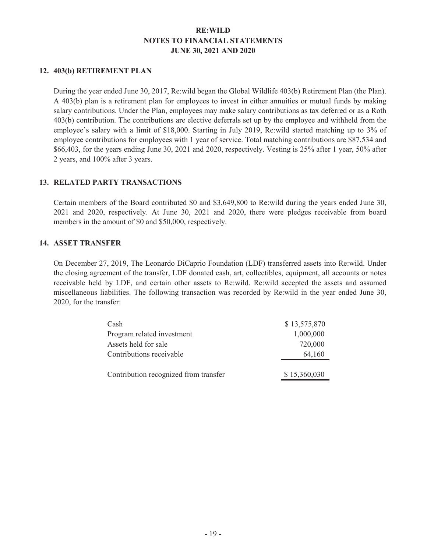#### **12. 403(b) RETIREMENT PLAN**

During the year ended June 30, 2017, Re:wild began the Global Wildlife 403(b) Retirement Plan (the Plan). A 403(b) plan is a retirement plan for employees to invest in either annuities or mutual funds by making salary contributions. Under the Plan, employees may make salary contributions as tax deferred or as a Roth 403(b) contribution. The contributions are elective deferrals set up by the employee and withheld from the employee's salary with a limit of \$18,000. Starting in July 2019, Re:wild started matching up to 3% of employee contributions for employees with 1 year of service. Total matching contributions are \$87,534 and \$66,403, for the years ending June 30, 2021 and 2020, respectively. Vesting is 25% after 1 year, 50% after 2 years, and 100% after 3 years.

#### **13. RELATED PARTY TRANSACTIONS**

Certain members of the Board contributed \$0 and \$3,649,800 to Re:wild during the years ended June 30, 2021 and 2020, respectively. At June 30, 2021 and 2020, there were pledges receivable from board members in the amount of \$0 and \$50,000, respectively.

#### **14. ASSET TRANSFER**

On December 27, 2019, The Leonardo DiCaprio Foundation (LDF) transferred assets into Re:wild. Under the closing agreement of the transfer, LDF donated cash, art, collectibles, equipment, all accounts or notes receivable held by LDF, and certain other assets to Re:wild. Re:wild accepted the assets and assumed miscellaneous liabilities. The following transaction was recorded by Re:wild in the year ended June 30, 2020, for the transfer:

| Cash                                  | \$13,575,870 |
|---------------------------------------|--------------|
| Program related investment            | 1,000,000    |
| Assets held for sale                  | 720,000      |
| Contributions receivable              | 64,160       |
|                                       |              |
| Contribution recognized from transfer | \$15,360,030 |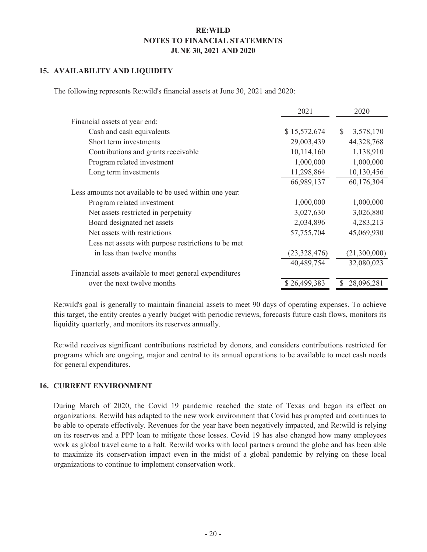#### **15. AVAILABILITY AND LIQUIDITY**

The following represents Re:wild's financial assets at June 30, 2021 and 2020:

|                                                         | 2021         | 2020                      |
|---------------------------------------------------------|--------------|---------------------------|
| Financial assets at year end:                           |              |                           |
| Cash and cash equivalents                               | \$15,572,674 | 3,578,170<br><sup>S</sup> |
| Short term investments                                  | 29,003,439   | 44,328,768                |
| Contributions and grants receivable                     | 10,114,160   | 1,138,910                 |
| Program related investment                              | 1,000,000    | 1,000,000                 |
| Long term investments                                   | 11,298,864   | 10,130,456                |
|                                                         | 66,989,137   | 60,176,304                |
| Less amounts not available to be used within one year:  |              |                           |
| Program related investment                              | 1,000,000    | 1,000,000                 |
| Net assets restricted in perpetuity                     | 3,027,630    | 3,026,880                 |
| Board designated net assets                             | 2,034,896    | 4,283,213                 |
| Net assets with restrictions                            | 57,755,704   | 45,069,930                |
| Less net assets with purpose restrictions to be met     |              |                           |
| in less than twelve months                              | (23,328,476) | (21,300,000)              |
|                                                         | 40,489,754   | 32,080,023                |
| Financial assets available to meet general expenditures |              |                           |
| over the next twelve months                             | \$26,499,383 | 28,096,281<br>S.          |

Re:wild's goal is generally to maintain financial assets to meet 90 days of operating expenses. To achieve this target, the entity creates a yearly budget with periodic reviews, forecasts future cash flows, monitors its liquidity quarterly, and monitors its reserves annually.

Re:wild receives significant contributions restricted by donors, and considers contributions restricted for programs which are ongoing, major and central to its annual operations to be available to meet cash needs for general expenditures.

#### **16. CURRENT ENVIRONMENT**

During March of 2020, the Covid 19 pandemic reached the state of Texas and began its effect on organizations. Re:wild has adapted to the new work environment that Covid has prompted and continues to be able to operate effectively. Revenues for the year have been negatively impacted, and Re:wild is relying on its reserves and a PPP loan to mitigate those losses. Covid 19 has also changed how many employees work as global travel came to a halt. Re:wild works with local partners around the globe and has been able to maximize its conservation impact even in the midst of a global pandemic by relying on these local organizations to continue to implement conservation work.